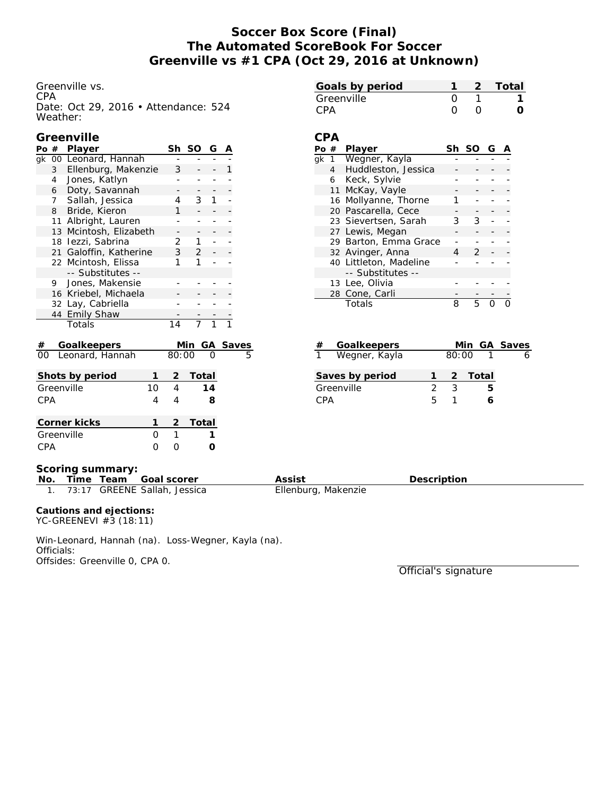# **Soccer Box Score (Final) The Automated ScoreBook For Soccer Greenville vs #1 CPA (Oct 29, 2016 at Unknown)**

Greenville vs. CPA Date: Oct 29, 2016 • Attendance: 524 Weather:

## **Greenville**

| Po $#$          |                | Player                 |    | Sh              | SO                | G  | Α |       |
|-----------------|----------------|------------------------|----|-----------------|-------------------|----|---|-------|
| g <sub>k</sub>  |                | 00 Leonard, Hannah     |    |                 |                   |    |   |       |
|                 | $\mathbf{3}$   | Ellenburg, Makenzie    | 3  |                 |                   | 1  |   |       |
|                 | $\overline{4}$ | Jones, Katlyn          |    |                 |                   |    |   |       |
|                 | 6              | Doty, Savannah         |    |                 |                   |    |   |       |
|                 | 7              | Sallah, Jessica        |    | 4               | 3                 | 1  |   |       |
|                 | 8              | Bride, Kieron          |    | 1               |                   |    |   |       |
|                 | 11             | Albright, Lauren       |    |                 |                   |    |   |       |
|                 | 13             | Mcintosh, Elizabeth    |    |                 |                   |    |   |       |
|                 |                | 18 lezzi, Sabrina      |    | 2               | 1.                |    |   |       |
|                 |                | 21 Galoffin, Katherine |    | $\mathbf{3}$    | $\overline{2}$    |    |   |       |
|                 |                | 22 Mcintosh, Elissa    |    | 1               | 1                 |    |   |       |
|                 |                | -- Substitutes --      |    |                 |                   |    |   |       |
|                 | 9.             | Jones, Makensie        |    |                 |                   |    |   |       |
|                 |                | 16 Kriebel, Michaela   |    |                 |                   |    |   |       |
|                 |                | 32 Lay, Cabriella      |    |                 |                   |    |   |       |
|                 |                | 44 Emily Shaw          |    |                 |                   |    |   |       |
|                 |                | Totals                 |    | $\overline{14}$ | $\overline{\tau}$ |    |   |       |
| #               |                | Goalkeepers            |    |                 | Min               | GА |   | Saves |
| 00              |                | Leonard, Hannah        |    | 80:00           |                   |    |   | 5     |
|                 |                | Shots by period        | 1  | $\overline{2}$  | Total             |    |   |       |
|                 |                | Greenville             | 10 | 4               |                   | 14 |   |       |
| CPA             |                |                        | 4  | 4               |                   | 8  |   |       |
|                 |                |                        | 1  | 2               |                   |    |   |       |
| Corner kicks    |                |                        | O  |                 | Total             |    |   |       |
| Greenville      |                |                        |    | 1               |                   | 1  |   |       |
| <b>CPA</b><br>0 |                |                        |    | 0               |                   | O  |   |       |

| Goals by period |                  | 2 Total |
|-----------------|------------------|---------|
| Greenville      |                  |         |
| CPA             | $\left( \right)$ |         |

### **CPA**

|    | #                | Player                 | Sh. | SO G |  |
|----|------------------|------------------------|-----|------|--|
| ak |                  | Wegner, Kayla          |     |      |  |
|    | $4 \overline{ }$ | Huddleston, Jessica    |     |      |  |
|    | 6                | Keck, Sylvie           |     |      |  |
|    |                  | 11 McKay, Vayle        |     |      |  |
|    |                  | 16 Mollyanne, Thorne   |     |      |  |
|    |                  | 20 Pascarella, Cece    |     |      |  |
|    |                  | 23 Sievertsen, Sarah   | 3   | 3    |  |
|    |                  | 27 Lewis, Megan        |     |      |  |
|    |                  | 29 Barton, Emma Grace  |     |      |  |
|    |                  | 32 Avinger, Anna       |     | 2    |  |
|    |                  | 40 Littleton, Madeline |     |      |  |
|    |                  | -- Substitutes --      |     |      |  |
|    |                  | 13 Lee, Olivia         |     |      |  |
|    |                  | 28 Cone, Carli         |     |      |  |
|    |                  | Totals                 | 8   | 5    |  |

| #               | Goalkeepers     |         |       | Min GA Saves |  |
|-----------------|-----------------|---------|-------|--------------|--|
| $\mathbf{1}$    | Wegner, Kayla   |         | 80:00 |              |  |
|                 | Saves by period |         |       | 2 Total      |  |
|                 | Greenville      | $\cdot$ | 3     | h            |  |
| C <sub>PA</sub> |                 | ь       |       |              |  |

**Scoring summary:**

| No. |  | Time Team Goal scorer        | Assist              | Description |
|-----|--|------------------------------|---------------------|-------------|
|     |  | 73:17 GREENE Sallah, Jessica | Ellenburg, Makenzie |             |

**Cautions and ejections:** YC-GREENEVI #3 (18:11)

Win-Leonard, Hannah (na). Loss-Wegner, Kayla (na). Officials: Offsides: Greenville 0, CPA 0.

Official's signature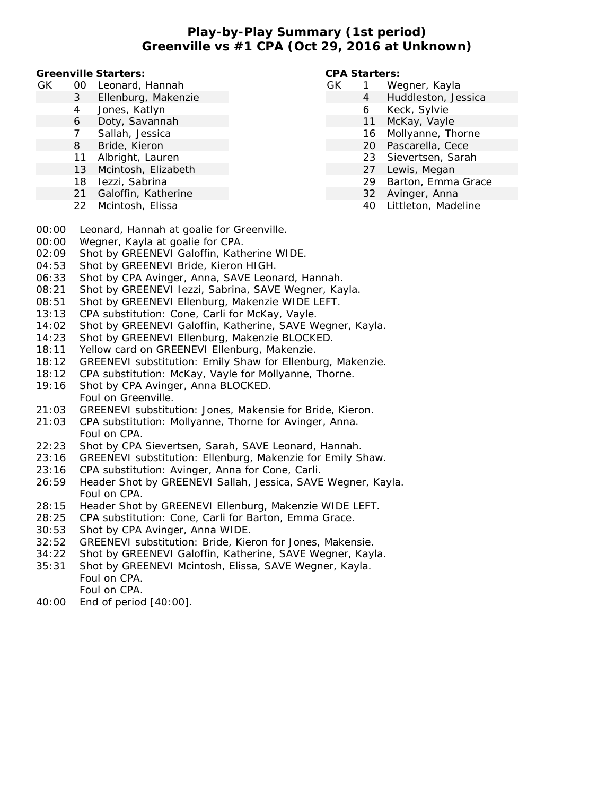**Play-by-Play Summary (1st period) Greenville vs #1 CPA (Oct 29, 2016 at Unknown)**

**Greenville Starters:**

- GK 00 Leonard, Hannah
	- 3 Ellenburg, Makenzie
	- 4 Jones, Katlyn
	- 6 Doty, Savannah
	- 7 Sallah, Jessica
	- 8 Bride, Kieron
	- 11 Albright, Lauren
	- 13 Mcintosh, Elizabeth
	- 18 Iezzi, Sabrina
	- 21 Galoffin, Katherine
	- 22 Mcintosh, Elissa

**CPA Starters:**

- GK 1 Wegner, Kayla
	- 4 Huddleston, Jessica
	- 6 Keck, Sylvie
	- 11 McKay, Vayle
	- 16 Mollyanne, Thorne
	- 20 Pascarella, Cece
	- 23 Sievertsen, Sarah
	- 27 Lewis, Megan
	- 29 Barton, Emma Grace
	- 32 Avinger, Anna
	- 40 Littleton, Madeline
- 00:00 Leonard, Hannah at goalie for Greenville.
- 00:00 Wegner, Kayla at goalie for CPA.
- 02:09 Shot by GREENEVI Galoffin, Katherine WIDE.
- 04:53 Shot by GREENEVI Bride, Kieron HIGH.
- 06:33 Shot by CPA Avinger, Anna, SAVE Leonard, Hannah.
- 08:21 Shot by GREENEVI Iezzi, Sabrina, SAVE Wegner, Kayla.
- 08:51 Shot by GREENEVI Ellenburg, Makenzie WIDE LEFT.
- 13:13 CPA substitution: Cone, Carli for McKay, Vayle.
- 14:02 Shot by GREENEVI Galoffin, Katherine, SAVE Wegner, Kayla.
- 14:23 Shot by GREENEVI Ellenburg, Makenzie BLOCKED.
- 18:11 Yellow card on GREENEVI Ellenburg, Makenzie.
- 18:12 GREENEVI substitution: Emily Shaw for Ellenburg, Makenzie.
- 18:12 CPA substitution: McKay, Vayle for Mollyanne, Thorne.
- 19:16 Shot by CPA Avinger, Anna BLOCKED. Foul on Greenville.
- 21:03 GREENEVI substitution: Jones, Makensie for Bride, Kieron.
- 21:03 CPA substitution: Mollyanne, Thorne for Avinger, Anna. Foul on CPA.
- 22:23 Shot by CPA Sievertsen, Sarah, SAVE Leonard, Hannah.
- 23:16 GREENEVI substitution: Ellenburg, Makenzie for Emily Shaw.
- 23:16 CPA substitution: Avinger, Anna for Cone, Carli.
- 26:59 Header Shot by GREENEVI Sallah, Jessica, SAVE Wegner, Kayla. Foul on CPA.
- 28:15 Header Shot by GREENEVI Ellenburg, Makenzie WIDE LEFT.
- 28:25 CPA substitution: Cone, Carli for Barton, Emma Grace.
- 30:53 Shot by CPA Avinger, Anna WIDE.
- 32:52 GREENEVI substitution: Bride, Kieron for Jones, Makensie.
- 34:22 Shot by GREENEVI Galoffin, Katherine, SAVE Wegner, Kayla.
- 35:31 Shot by GREENEVI Mcintosh, Elissa, SAVE Wegner, Kayla. Foul on CPA. Foul on CPA.
- 40:00 End of period [40:00].